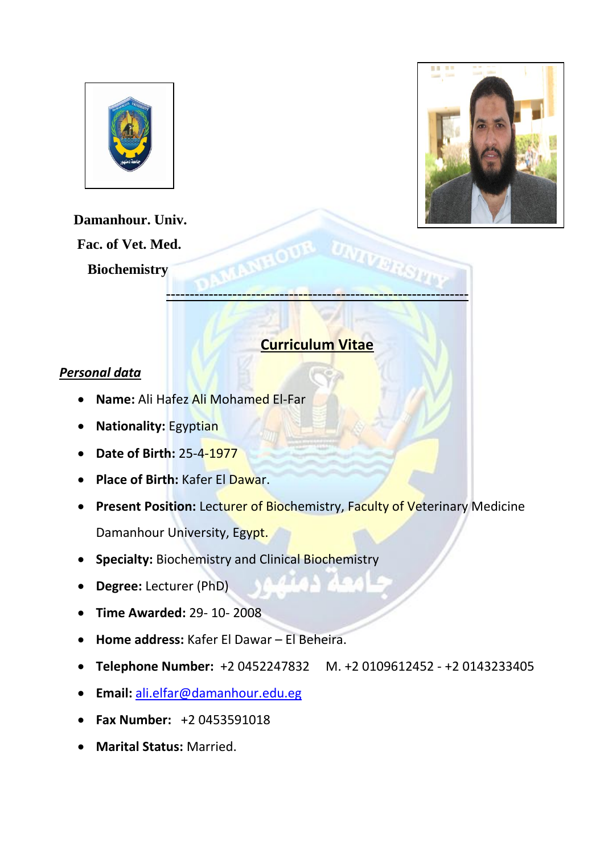



 **Damanhour. Univ. Fac. of Vet. Med. Biochemistry** 

# **Curriculum Vitae**

**----------------------------------------------------------------**

**IVERS** 

## *Personal data*

- **Name:** Ali Hafez Ali Mohamed El-Far
- **Nationality:** Egyptian
- **Date of Birth:** 25-4-1977
- **Place of Birth:** Kafer El Dawar.
- **Present Position:** Lecturer of Biochemistry, Faculty of Veterinary Medicine Damanhour University, Egypt.
- **Specialty:** Biochemistry and Clinical Biochemistry
- **Degree:** Lecturer (PhD)
- **Time Awarded:** 29- 10- 2008
- **Home address:** Kafer El Dawar El Beheira.
- **Telephone Number:** +2 0452247832 M. +2 0109612452 +2 0143233405
- **Email:** [ali.elfar@damanhour.edu.eg](mailto:ali.elfar@damanhour.edu.eg)
- **Fax Number:** +2 0453591018
- **Marital Status:** Married.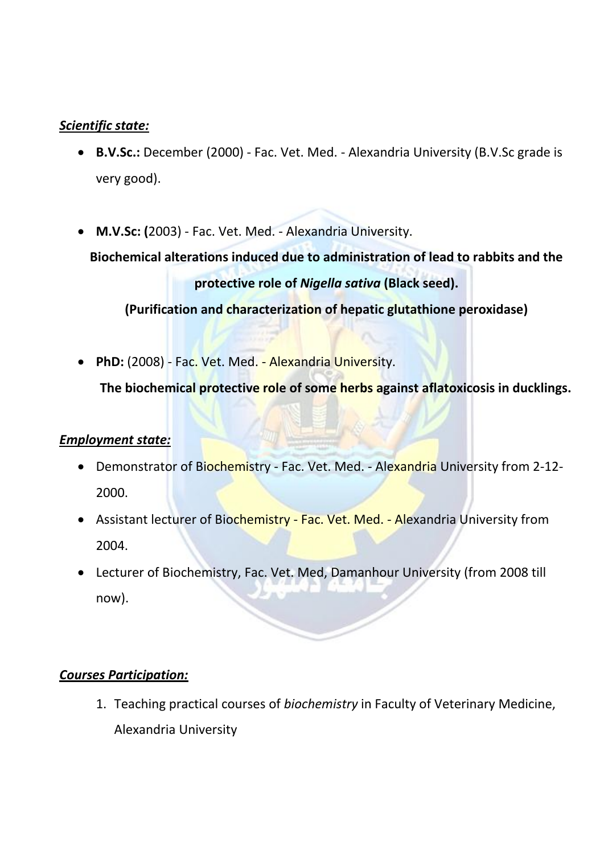## *Scientific state:*

- **B.V.Sc.:** December (2000) Fac. Vet. Med. Alexandria University (B.V.Sc grade is very good).
- **M.V.Sc: (**2003) Fac. Vet. Med. Alexandria University.

**Biochemical alterations induced due to administration of lead to rabbits and the protective role of** *Nigella sativa* **(Black seed).**

**(Purification and characterization of hepatic glutathione peroxidase)**

**PhD:** (2008) - Fac. Vet. Med. - Alexandria University.

**The biochemical protective role of some herbs against aflatoxicosis in ducklings.**

## *Employment state:*

- Demonstrator of Biochemistry Fac. Vet. Med. Alexandria University from 2-12-2000.
- Assistant lecturer of Biochemistry Fac. Vet. Med. Alexandria University from 2004.
- Lecturer of Biochemistry, Fac. Vet. Med, Damanhour University (from 2008 till now).

## *Courses Participation:*

1. Teaching practical courses of *biochemistry* in Faculty of Veterinary Medicine, Alexandria University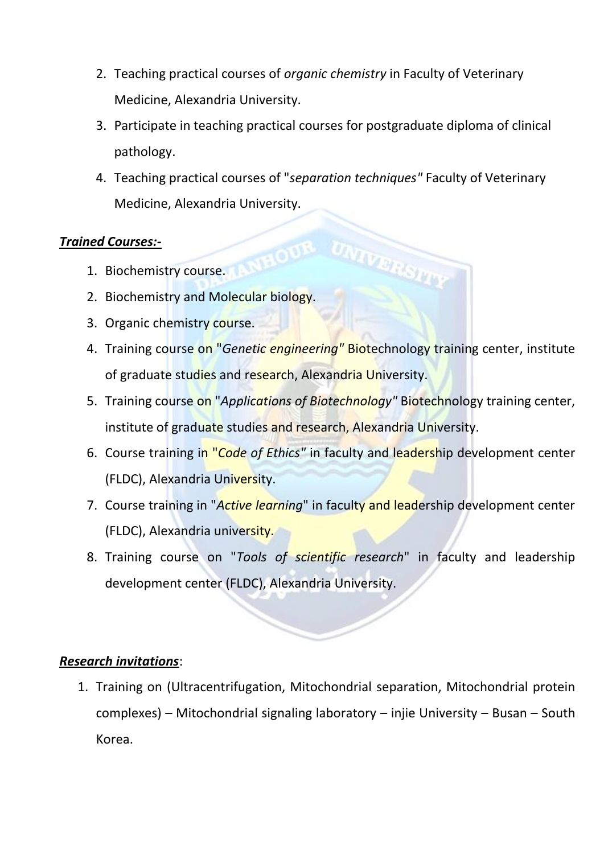- 2. Teaching practical courses of *organic chemistry* in Faculty of Veterinary Medicine, Alexandria University.
- 3. Participate in teaching practical courses for postgraduate diploma of clinical pathology.
- 4. Teaching practical courses of "*separation techniques"* Faculty of Veterinary Medicine, Alexandria University.

## *Trained Courses:-*

- ned Courses:-<br>1. Biochemistry course.
- 2. Biochemistry and Molecular biology.
- 3. Organic chemistry course.
- 4. Training course on "*Genetic engineering"* Biotechnology training center, institute of graduate studies and research, Alexandria University.
- 5. Training course on "*Applications of Biotechnology"* Biotechnology training center, institute of graduate studies and research, Alexandria University.
- 6. Course training in "*Code of Ethics"* in faculty and leadership development center (FLDC), Alexandria University.
- 7. Course training in "*Active learning*" in faculty and leadership development center (FLDC), Alexandria university.
- 8. Training course on "*Tools of scientific research*" in faculty and leadership development center (FLDC), Alexandria University.

## *Research invitations*:

1. Training on (Ultracentrifugation, Mitochondrial separation, Mitochondrial protein complexes) – Mitochondrial signaling laboratory – injie University – Busan – South Korea.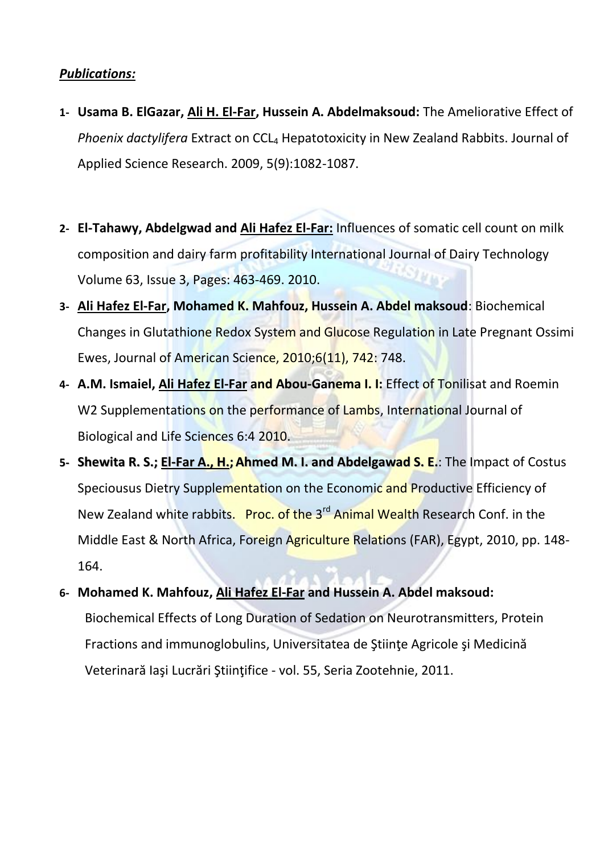## *Publications:*

- **1- Usama B. ElGazar, Ali H. El-Far, Hussein A. Abdelmaksoud:** The Ameliorative Effect of *Phoenix dactylifera* Extract on CCL<sub>4</sub> Hepatotoxicity in New Zealand Rabbits. Journal of Applied Science Research. 2009, 5(9):1082-1087.
- **2- El-Tahawy, Abdelgwad and Ali Hafez El-Far:** Influences of somatic cell count on milk composition and dairy farm profitability International Journal of Dairy Technology Volume 63, Issue 3, Pages: 463-469. 2010.
- **3- Ali Hafez El-Far, Mohamed K. Mahfouz, Hussein A. Abdel maksoud**: Biochemical Changes in Glutathione Redox System and Glucose Regulation in Late Pregnant Ossimi Ewes, Journal of American Science, 2010;6(11), 742: 748.
- **4- A.M. Ismaiel, Ali Hafez El-Far and Abou-Ganema I. I:** Effect of Tonilisat and Roemin W2 Supplementations on the performance of Lambs, International Journal of Biological and Life Sciences 6:4 2010.
- **5- Shewita R. S.; El-Far A., H.;Ahmed M. I. and Abdelgawad S. E.**: The Impact of Costus Speciousus Dietry Supplementation on the Economic and Productive Efficiency of New Zealand white rabbits. Proc. of the 3<sup>rd</sup> Animal Wealth Research Conf. in the Middle East & North Africa, Foreign Agriculture Relations (FAR), Egypt, 2010, pp. 148- 164.
- **6- Mohamed K. Mahfouz, Ali Hafez El-Far and Hussein A. Abdel maksoud:**  Biochemical Effects of Long Duration of Sedation on Neurotransmitters, Protein Fractions and immunoglobulins, Universitatea de Ştiinţe Agricole şi Medicină Veterinară Iaşi Lucrări Ştiinţifice - vol. 55, Seria Zootehnie, 2011.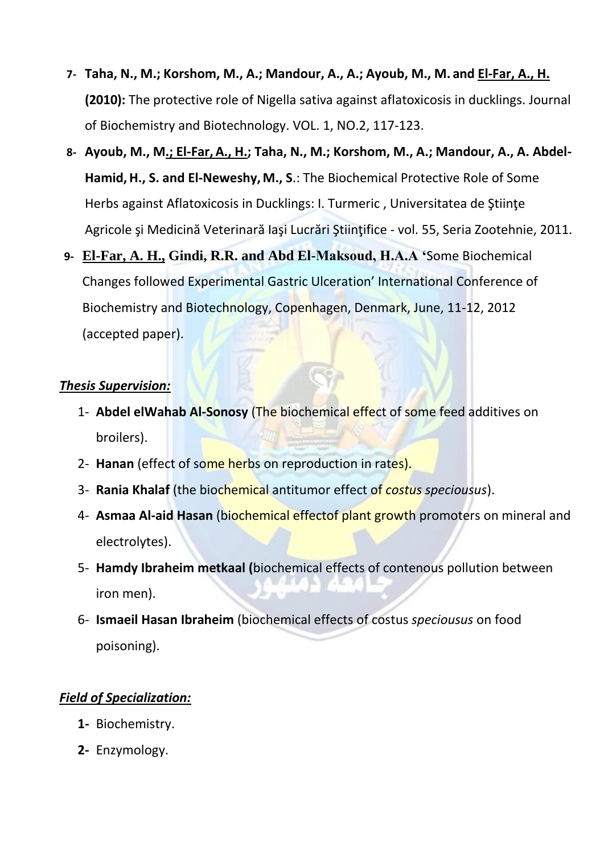- **7- Taha, N., M.; Korshom, M., A.; Mandour, A., A.; Ayoub, M., M. and El-Far, A., H. (2010):** The protective role of Nigella sativa against aflatoxicosis in ducklings. Journal of Biochemistry and Biotechnology. VOL. 1, NO.2, 117-123.
- **8- Ayoub, M., M.; El-Far,A., H.; Taha, N., M.; Korshom, M., A.; Mandour, A., A. Abdel-Hamid,H., S. and El-Neweshy,M., S**.: The Biochemical Protective Role of Some Herbs against Aflatoxicosis in Ducklings: I. Turmeric , Universitatea de Ştiinţe Agricole şi Medicină Veterinară Iaşi Lucrări Ştiinţifice - vol. 55, Seria Zootehnie, 2011.
- **9- El-Far, A. H., Gindi, R.R. and Abd El-Maksoud, H.A.A '**Some Biochemical Changes followed Experimental Gastric Ulceration' International Conference of Biochemistry and Biotechnology, Copenhagen, Denmark, June, 11-12, 2012 (accepted paper).

## *Thesis Supervision:*

- 1- **Abdel elWahab Al-Sonosy** (The biochemical effect of some feed additives on broilers).
- 2- **Hanan** (effect of some herbs on reproduction in rates).
- 3- **Rania Khalaf** (the biochemical antitumor effect of *costus speciousus*).
- 4- **Asmaa Al-aid Hasan** (biochemical effectof plant growth promoters on mineral and electrolytes).
- 5- **Hamdy Ibraheim metkaal (**biochemical effects of contenous pollution between iron men).
- 6- **Ismaeil Hasan Ibraheim** (biochemical effects of costus *speciousus* on food poisoning).

## *Field of Specialization:*

- **1-** Biochemistry.
- **2-** Enzymology.